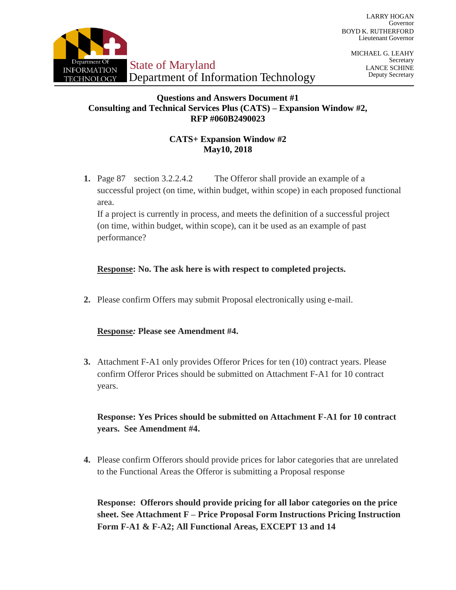

MICHAEL G. LEAHY Secretary LANCE SCHINE Deputy Secretary

## **Questions and Answers Document #1 Consulting and Technical Services Plus (CATS) – Expansion Window #2, RFP #060B2490023**

# **CATS+ Expansion Window #2 May10, 2018**

**1.** Page 87 section 3.2.2.4.2 The Offeror shall provide an example of a successful project (on time, within budget, within scope) in each proposed functional area.

If a project is currently in process, and meets the definition of a successful project (on time, within budget, within scope), can it be used as an example of past performance?

# **Response: No. The ask here is with respect to completed projects.**

**2.** Please confirm Offers may submit Proposal electronically using e-mail.

## **Response***:* **Please see Amendment #4.**

**3.** Attachment F-A1 only provides Offeror Prices for ten (10) contract years. Please confirm Offeror Prices should be submitted on Attachment F-A1 for 10 contract years.

# **Response: Yes Prices should be submitted on Attachment F-A1 for 10 contract years. See Amendment #4.**

**4.** Please confirm Offerors should provide prices for labor categories that are unrelated to the Functional Areas the Offeror is submitting a Proposal response

**Response: Offerors should provide pricing for all labor categories on the price sheet. See Attachment F – Price Proposal Form Instructions Pricing Instruction Form F-A1 & F-A2; All Functional Areas, EXCEPT 13 and 14**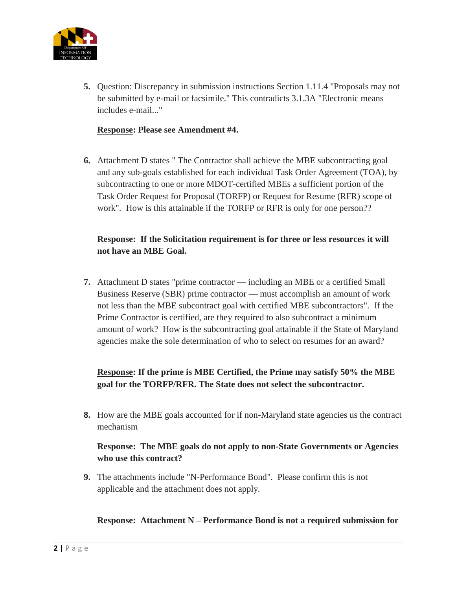

**5.** Question: Discrepancy in submission instructions Section 1.11.4 "Proposals may not be submitted by e-mail or facsimile." This contradicts 3.1.3A "Electronic means includes e-mail..."

## **Response: Please see Amendment #4.**

**6.** Attachment D states " The Contractor shall achieve the MBE subcontracting goal and any sub-goals established for each individual Task Order Agreement (TOA), by subcontracting to one or more MDOT-certified MBEs a sufficient portion of the Task Order Request for Proposal (TORFP) or Request for Resume (RFR) scope of work". How is this attainable if the TORFP or RFR is only for one person??

# **Response: If the Solicitation requirement is for three or less resources it will not have an MBE Goal.**

**7.** Attachment D states "prime contractor — including an MBE or a certified Small Business Reserve (SBR) prime contractor — must accomplish an amount of work not less than the MBE subcontract goal with certified MBE subcontractors". If the Prime Contractor is certified, are they required to also subcontract a minimum amount of work? How is the subcontracting goal attainable if the State of Maryland agencies make the sole determination of who to select on resumes for an award?

# **Response: If the prime is MBE Certified, the Prime may satisfy 50% the MBE goal for the TORFP/RFR. The State does not select the subcontractor.**

**8.** How are the MBE goals accounted for if non-Maryland state agencies us the contract mechanism

# **Response: The MBE goals do not apply to non-State Governments or Agencies who use this contract?**

**9.** The attachments include "N-Performance Bond". Please confirm this is not applicable and the attachment does not apply.

### **Response: Attachment N – Performance Bond is not a required submission for**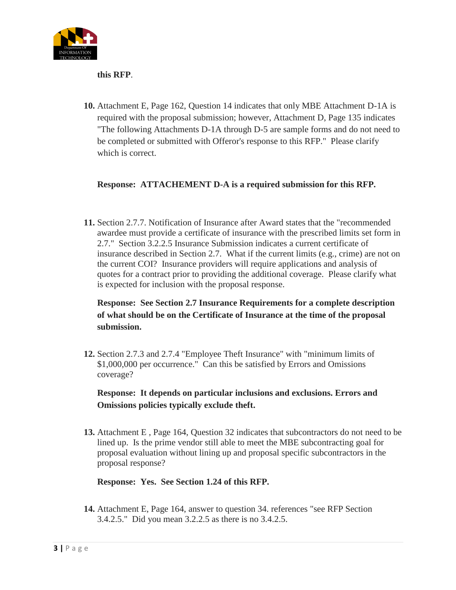

**this RFP**.

**10.** Attachment E, Page 162, Question 14 indicates that only MBE Attachment D-1A is required with the proposal submission; however, Attachment D, Page 135 indicates "The following Attachments D-1A through D-5 are sample forms and do not need to be completed or submitted with Offeror's response to this RFP." Please clarify which is correct.

# **Response: ATTACHEMENT D-A is a required submission for this RFP.**

**11.** Section 2.7.7. Notification of Insurance after Award states that the "recommended awardee must provide a certificate of insurance with the prescribed limits set form in 2.7." Section 3.2.2.5 Insurance Submission indicates a current certificate of insurance described in Section 2.7. What if the current limits (e.g., crime) are not on the current COI? Insurance providers will require applications and analysis of quotes for a contract prior to providing the additional coverage. Please clarify what is expected for inclusion with the proposal response.

# **Response: See Section 2.7 Insurance Requirements for a complete description of what should be on the Certificate of Insurance at the time of the proposal submission.**

**12.** Section 2.7.3 and 2.7.4 "Employee Theft Insurance" with "minimum limits of \$1,000,000 per occurrence." Can this be satisfied by Errors and Omissions coverage?

**Response: It depends on particular inclusions and exclusions. Errors and Omissions policies typically exclude theft.**

**13.** Attachment E , Page 164, Question 32 indicates that subcontractors do not need to be lined up. Is the prime vendor still able to meet the MBE subcontracting goal for proposal evaluation without lining up and proposal specific subcontractors in the proposal response?

**Response: Yes. See Section 1.24 of this RFP.**

**14.** Attachment E, Page 164, answer to question 34. references "see RFP Section 3.4.2.5." Did you mean 3.2.2.5 as there is no 3.4.2.5.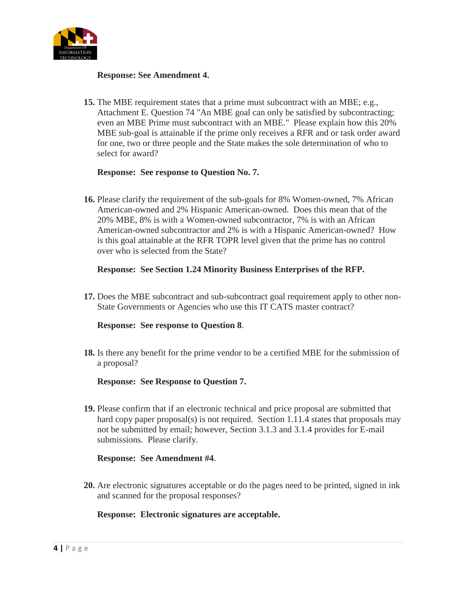

## **Response: See Amendment 4.**

**15.** The MBE requirement states that a prime must subcontract with an MBE; e.g., Attachment E. Question 74 "An MBE goal can only be satisfied by subcontracting; even an MBE Prime must subcontract with an MBE." Please explain how this 20% MBE sub-goal is attainable if the prime only receives a RFR and or task order award for one, two or three people and the State makes the sole determination of who to select for award?

## **Response: See response to Question No. 7.**

**16.** Please clarify the requirement of the sub-goals for 8% Women-owned, 7% African American-owned and 2% Hispanic American-owned. Does this mean that of the 20% MBE, 8% is with a Women-owned subcontractor, 7% is with an African American-owned subcontractor and 2% is with a Hispanic American-owned? How is this goal attainable at the RFR TOPR level given that the prime has no control over who is selected from the State?

## **Response: See Section 1.24 Minority Business Enterprises of the RFP.**

**17.** Does the MBE subcontract and sub-subcontract goal requirement apply to other non-State Governments or Agencies who use this IT CATS master contract?

### **Response: See response to Question 8**.

**18.** Is there any benefit for the prime vendor to be a certified MBE for the submission of a proposal?

### **Response: See Response to Question 7.**

**19.** Please confirm that if an electronic technical and price proposal are submitted that hard copy paper proposal(s) is not required. Section 1.11.4 states that proposals may not be submitted by email; however, Section 3.1.3 and 3.1.4 provides for E-mail submissions. Please clarify.

### **Response: See Amendment #4**.

**20.** Are electronic signatures acceptable or do the pages need to be printed, signed in ink and scanned for the proposal responses?

### **Response: Electronic signatures are acceptable.**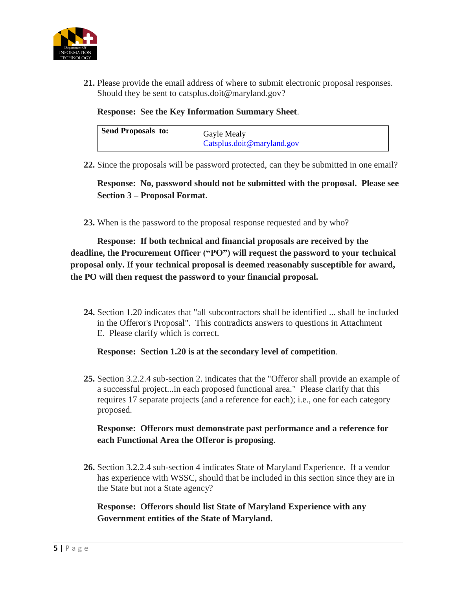

**21.** Please provide the email address of where to submit electronic proposal responses. Should they be sent to [catsplus.doit@maryland.gov?](mailto:catsplus.doit@maryland.gov)

**Response: See the Key Information Summary Sheet**.

| <b>Send Proposals to:</b> | Gayle Mealy                |
|---------------------------|----------------------------|
|                           | Catsplus.doit@maryland.gov |

**22.** Since the proposals will be password protected, can they be submitted in one email?

**Response: No, password should not be submitted with the proposal. Please see Section 3 – Proposal Format.**

**23.** When is the password to the proposal response requested and by who?

**Response: If both technical and financial proposals are received by the deadline, the Procurement Officer ("PO") will request the password to your technical proposal only. If your technical proposal is deemed reasonably susceptible for award, the PO will then request the password to your financial proposal.**

**24.** Section 1.20 indicates that "all subcontractors shall be identified ... shall be included in the Offeror's Proposal". This contradicts answers to questions in Attachment E. Please clarify which is correct.

#### **Response: Section 1.20 is at the secondary level of competition**.

**25.** Section 3.2.2.4 sub-section 2. indicates that the "Offeror shall provide an example of a successful project...in each proposed functional area." Please clarify that this requires 17 separate projects (and a reference for each); i.e., one for each category proposed.

## **Response: Offerors must demonstrate past performance and a reference for each Functional Area the Offeror is proposing**.

**26.** Section 3.2.2.4 sub-section 4 indicates State of Maryland Experience. If a vendor has experience with WSSC, should that be included in this section since they are in the State but not a State agency?

**Response: Offerors should list State of Maryland Experience with any Government entities of the State of Maryland.**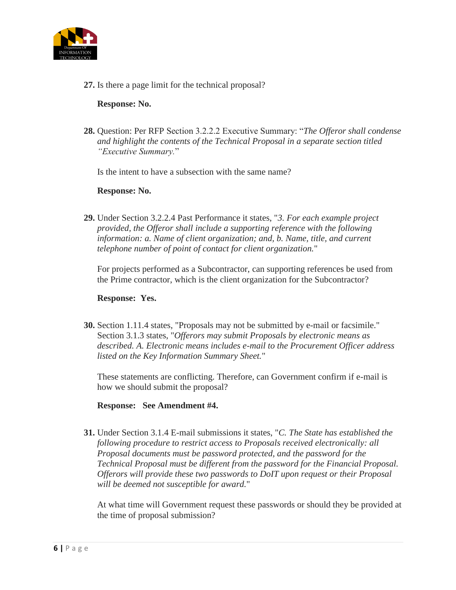

**27.** Is there a page limit for the technical proposal?

## **Response: No.**

**28.** Question: Per RFP Section 3.2.2.2 Executive Summary: "*The Offeror shall condense and highlight the contents of the Technical Proposal in a separate section titled "Executive Summary.*"

Is the intent to have a subsection with the same name?

### **Response: No.**

**29.** Under Section 3.2.2.4 Past Performance it states, "*3. For each example project provided, the Offeror shall include a supporting reference with the following information: a. Name of client organization; and, b. Name, title, and current telephone number of point of contact for client organization.*"

For projects performed as a Subcontractor, can supporting references be used from the Prime contractor, which is the client organization for the Subcontractor?

### **Response: Yes.**

**30.** Section 1.11.4 states, "Proposals may not be submitted by e-mail or facsimile." Section 3.1.3 states, "*Offerors may submit Proposals by electronic means as described. A. Electronic means includes e-mail to the Procurement Officer address listed on the Key Information Summary Sheet.*"

These statements are conflicting. Therefore, can Government confirm if e-mail is how we should submit the proposal?

**Response: See Amendment #4.**

**31.** Under Section 3.1.4 E-mail submissions it states, "*C. The State has established the following procedure to restrict access to Proposals received electronically: all Proposal documents must be password protected, and the password for the Technical Proposal must be different from the password for the Financial Proposal. Offerors will provide these two passwords to DoIT upon request or their Proposal will be deemed not susceptible for award.*"

At what time will Government request these passwords or should they be provided at the time of proposal submission?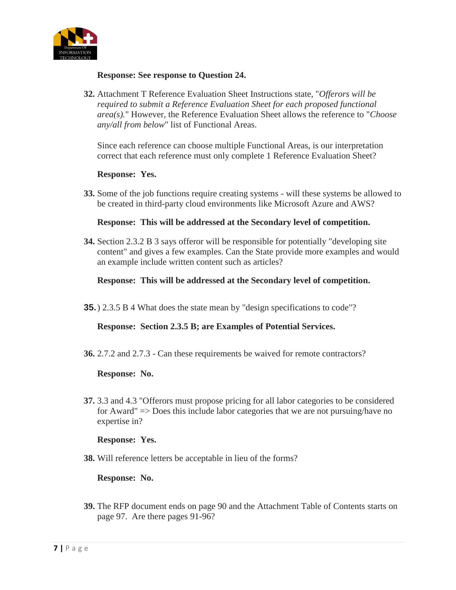

### **Response: See response to Question 24.**

**32.** Attachment T Reference Evaluation Sheet Instructions state, "*Offerors will be required to submit a Reference Evaluation Sheet for each proposed functional area(s).*" However, the Reference Evaluation Sheet allows the reference to "*Choose any/all from below*" list of Functional Areas.

Since each reference can choose multiple Functional Areas, is our interpretation correct that each reference must only complete 1 Reference Evaluation Sheet?

#### **Response: Yes.**

**33.** Some of the job functions require creating systems - will these systems be allowed to be created in third-party cloud environments like Microsoft Azure and AWS?

#### **Response: This will be addressed at the Secondary level of competition.**

**34.** Section 2.3.2 B 3 says offeror will be responsible for potentially "developing site content" and gives a few examples. Can the State provide more examples and would an example include written content such as articles?

### **Response: This will be addressed at the Secondary level of competition.**

**35.**) 2.3.5 B 4 What does the state mean by "design specifications to code"?

### **Response: Section 2.3.5 B; are Examples of Potential Services.**

**36.** 2.7.2 and 2.7.3 - Can these requirements be waived for remote contractors?

#### **Response: No.**

**37.** 3.3 and 4.3 "Offerors must propose pricing for all labor categories to be considered for Award" => Does this include labor categories that we are not pursuing/have no expertise in?

#### **Response: Yes.**

**38.** Will reference letters be acceptable in lieu of the forms?

### **Response: No.**

**39.** The RFP document ends on page 90 and the Attachment Table of Contents starts on page 97. Are there pages 91-96?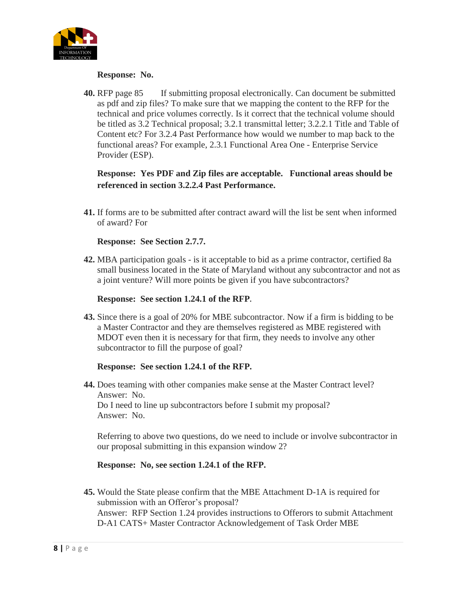

### **Response: No.**

**40.** RFP page 85 If submitting proposal electronically. Can document be submitted as pdf and zip files? To make sure that we mapping the content to the RFP for the technical and price volumes correctly. Is it correct that the technical volume should be titled as 3.2 Technical proposal; 3.2.1 transmittal letter; 3.2.2.1 Title and Table of Content etc? For 3.2.4 Past Performance how would we number to map back to the functional areas? For example, 2.3.1 Functional Area One - Enterprise Service Provider (ESP).

**Response: Yes PDF and Zip files are acceptable. Functional areas should be referenced in section 3.2.2.4 Past Performance.** 

**41.** If forms are to be submitted after contract award will the list be sent when informed of award? For

## **Response: See Section 2.7.7.**

**42.** MBA participation goals - is it acceptable to bid as a prime contractor, certified 8a small business located in the State of Maryland without any subcontractor and not as a joint venture? Will more points be given if you have subcontractors?

### **Response: See section 1.24.1 of the RFP.**

**43.** Since there is a goal of 20% for MBE subcontractor. Now if a firm is bidding to be a Master Contractor and they are themselves registered as MBE registered with MDOT even then it is necessary for that firm, they needs to involve any other subcontractor to fill the purpose of goal?

### **Response: See section 1.24.1 of the RFP.**

**44.** Does teaming with other companies make sense at the Master Contract level? Answer: No. Do I need to line up subcontractors before I submit my proposal? Answer: No.

Referring to above two questions, do we need to include or involve subcontractor in our proposal submitting in this expansion window 2?

### **Response: No, see section 1.24.1 of the RFP.**

**45.** Would the State please confirm that the MBE Attachment D-1A is required for submission with an Offeror's proposal? Answer: RFP Section 1.24 provides instructions to Offerors to submit Attachment D-A1 CATS+ Master Contractor Acknowledgement of Task Order MBE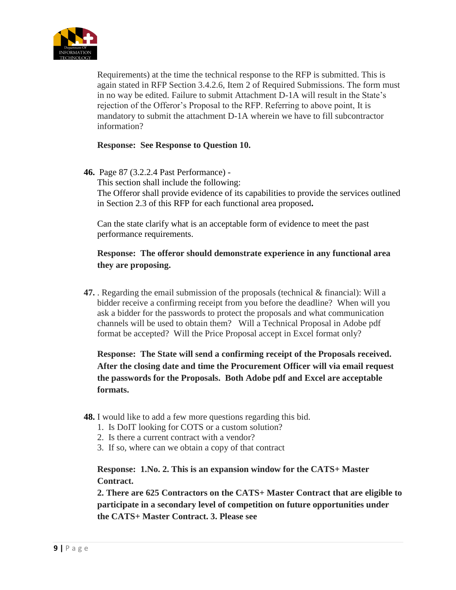

Requirements) at the time the technical response to the RFP is submitted. This is again stated in RFP Section 3.4.2.6, Item 2 of Required Submissions. The form must in no way be edited. Failure to submit Attachment D-1A will result in the State's rejection of the Offeror's Proposal to the RFP. Referring to above point, It is mandatory to submit the attachment D-1A wherein we have to fill subcontractor information?

**Response: See Response to Question 10.**

## **46.** Page 87 (3.2.2.4 Past Performance) -

This section shall include the following: The Offeror shall provide evidence of its capabilities to provide the services outlined in Section 2.3 of this RFP for each functional area proposed**.**

Can the state clarify what is an acceptable form of evidence to meet the past performance requirements.

# **Response: The offeror should demonstrate experience in any functional area they are proposing.**

**47.** . Regarding the email submission of the proposals (technical & financial): Will a bidder receive a confirming receipt from you before the deadline? When will you ask a bidder for the passwords to protect the proposals and what communication channels will be used to obtain them? Will a Technical Proposal in Adobe pdf format be accepted? Will the Price Proposal accept in Excel format only?

**Response: The State will send a confirming receipt of the Proposals received. After the closing date and time the Procurement Officer will via email request the passwords for the Proposals. Both Adobe pdf and Excel are acceptable formats.** 

- **48.** I would like to add a few more questions regarding this bid.
	- 1. Is DoIT looking for COTS or a custom solution?
	- 2. Is there a current contract with a vendor?
	- 3. If so, where can we obtain a copy of that contract

**Response: 1.No. 2. This is an expansion window for the CATS+ Master Contract.** 

**2. There are 625 Contractors on the CATS+ Master Contract that are eligible to participate in a secondary level of competition on future opportunities under the CATS+ Master Contract. 3. Please see**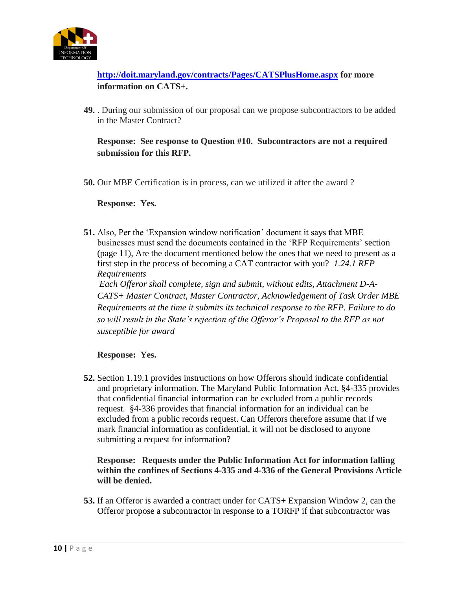

**<http://doit.maryland.gov/contracts/Pages/CATSPlusHome.aspx> for more information on CATS+.**

**49.** . During our submission of our proposal can we propose subcontractors to be added in the Master Contract?

**Response: See response to Question #10. Subcontractors are not a required submission for this RFP.**

**50.** Our MBE Certification is in process, can we utilized it after the award ?

**Response: Yes.** 

**51.** Also, Per the 'Expansion window notification' document it says that MBE businesses must send the documents contained in the 'RFP Requirements' section (page 11), Are the document mentioned below the ones that we need to present as a first step in the process of becoming a CAT contractor with you? *1.24.1 RFP Requirements*

*Each Offeror shall complete, sign and submit, without edits, Attachment D-A-CATS+ Master Contract, Master Contractor, Acknowledgement of Task Order MBE Requirements at the time it submits its technical response to the RFP. Failure to do so will result in the State's rejection of the Offeror's Proposal to the RFP as not susceptible for award*

**Response: Yes.**

**52.** Section 1.19.1 provides instructions on how Offerors should indicate confidential and proprietary information. The Maryland Public Information Act, §4-335 provides that confidential financial information can be excluded from a public records request. §4-336 provides that financial information for an individual can be excluded from a public records request. Can Offerors therefore assume that if we mark financial information as confidential, it will not be disclosed to anyone submitting a request for information?

**Response: Requests under the Public Information Act for information falling within the confines of Sections 4-335 and 4-336 of the General Provisions Article will be denied.** 

**53.** If an Offeror is awarded a contract under for CATS+ Expansion Window 2, can the Offeror propose a subcontractor in response to a TORFP if that subcontractor was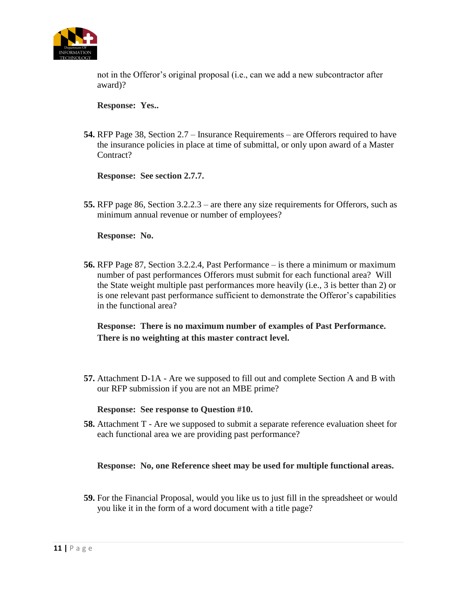

not in the Offeror's original proposal (i.e., can we add a new subcontractor after award)?

**Response: Yes..**

**54.** RFP Page 38, Section 2.7 – Insurance Requirements – are Offerors required to have the insurance policies in place at time of submittal, or only upon award of a Master Contract?

**Response: See section 2.7.7.**

**55.** RFP page 86, Section 3.2.2.3 – are there any size requirements for Offerors, such as minimum annual revenue or number of employees?

**Response: No.** 

**56.** RFP Page 87, Section 3.2.2.4, Past Performance – is there a minimum or maximum number of past performances Offerors must submit for each functional area? Will the State weight multiple past performances more heavily (i.e., 3 is better than 2) or is one relevant past performance sufficient to demonstrate the Offeror's capabilities in the functional area?

**Response: There is no maximum number of examples of Past Performance. There is no weighting at this master contract level.**

**57.** Attachment D-1A - Are we supposed to fill out and complete Section A and B with our RFP submission if you are not an MBE prime?

**Response: See response to Question #10.**

**58.** Attachment T - Are we supposed to submit a separate reference evaluation sheet for each functional area we are providing past performance?

**Response: No, one Reference sheet may be used for multiple functional areas.** 

**59.** For the Financial Proposal, would you like us to just fill in the spreadsheet or would you like it in the form of a word document with a title page?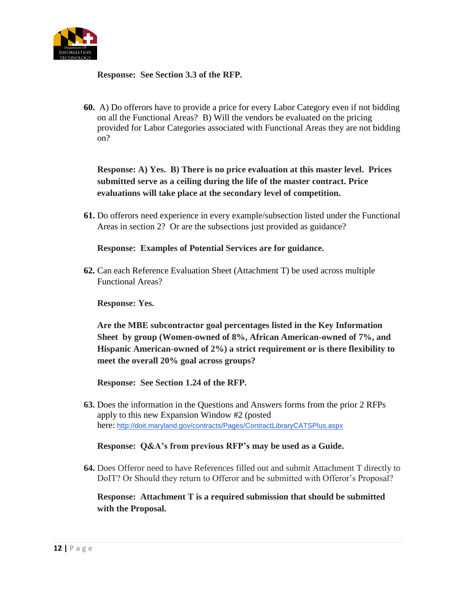

**Response: See Section 3.3 of the RFP.**

**60.** A) Do offerors have to provide a price for every Labor Category even if not bidding on all the Functional Areas? B) Will the vendors be evaluated on the pricing provided for Labor Categories associated with Functional Areas they are not bidding on?

**Response: A) Yes. B) There is no price evaluation at this master level. Prices submitted serve as a ceiling during the life of the master contract. Price evaluations will take place at the secondary level of competition.**

**61.** Do offerors need experience in every example/subsection listed under the Functional Areas in section 2? Or are the subsections just provided as guidance?

**Response: Examples of Potential Services are for guidance.**

**62.** Can each Reference Evaluation Sheet (Attachment T) be used across multiple Functional Areas?

**Response: Yes.**

**Are the MBE subcontractor goal percentages listed in the Key Information Sheet by group (Women-owned of 8%, African American-owned of 7%, and Hispanic American-owned of 2%) a strict requirement or is there flexibility to meet the overall 20% goal across groups?**

**Response: See Section 1.24 of the RFP.** 

**63.** Does the information in the Questions and Answers forms from the prior 2 RFPs apply to this new Expansion Window #2 (posted here: <http://doit.maryland.gov/contracts/Pages/ContractLibraryCATSPlus.aspx>

### **Response: Q&A's from previous RFP's may be used as a Guide.**

**64.** Does Offeror need to have References filled out and submit Attachment T directly to DoIT? Or Should they return to Offeror and be submitted with Offeror's Proposal?

**Response: Attachment T is a required submission that should be submitted with the Proposal.**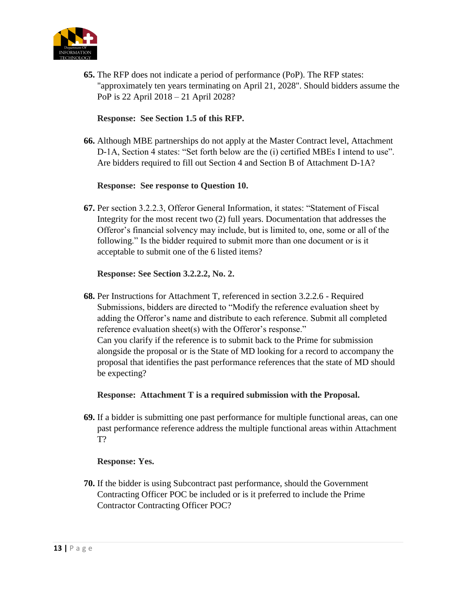

**65.** The RFP does not indicate a period of performance (PoP). The RFP states: "approximately ten years terminating on April 21, 2028". Should bidders assume the PoP is 22 April 2018 – 21 April 2028?

## **Response: See Section 1.5 of this RFP.**

**66.** Although MBE partnerships do not apply at the Master Contract level, Attachment D-1A, Section 4 states: "Set forth below are the (i) certified MBEs I intend to use". Are bidders required to fill out Section 4 and Section B of Attachment D-1A?

## **Response: See response to Question 10.**

**67.** Per section 3.2.2.3, Offeror General Information, it states: "Statement of Fiscal Integrity for the most recent two (2) full years. Documentation that addresses the Offeror's financial solvency may include, but is limited to, one, some or all of the following." Is the bidder required to submit more than one document or is it acceptable to submit one of the 6 listed items?

## **Response: See Section 3.2.2.2, No. 2.**

**68.** Per Instructions for Attachment T, referenced in section 3.2.2.6 - Required Submissions, bidders are directed to "Modify the reference evaluation sheet by adding the Offeror's name and distribute to each reference. Submit all completed reference evaluation sheet(s) with the Offeror's response." Can you clarify if the reference is to submit back to the Prime for submission alongside the proposal or is the State of MD looking for a record to accompany the proposal that identifies the past performance references that the state of MD should be expecting?

### **Response: Attachment T is a required submission with the Proposal.**

**69.** If a bidder is submitting one past performance for multiple functional areas, can one past performance reference address the multiple functional areas within Attachment T?

## **Response: Yes.**

**70.** If the bidder is using Subcontract past performance, should the Government Contracting Officer POC be included or is it preferred to include the Prime Contractor Contracting Officer POC?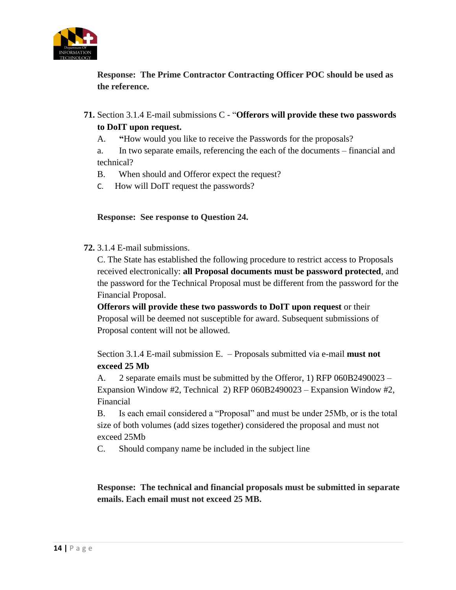

**Response: The Prime Contractor Contracting Officer POC should be used as the reference.** 

- **71.** Section 3.1.4 E-mail submissions C "**Offerors will provide these two passwords to DoIT upon request.**
	- A. **"**How would you like to receive the Passwords for the proposals?

a. In two separate emails, referencing the each of the documents – financial and technical?

- B. When should and Offeror expect the request?
- C. How will DoIT request the passwords?

## **Response: See response to Question 24.**

**72.** 3.1.4 E-mail submissions.

C. The State has established the following procedure to restrict access to Proposals received electronically: **all Proposal documents must be password protected**, and the password for the Technical Proposal must be different from the password for the Financial Proposal.

**Offerors will provide these two passwords to DoIT upon request** or their Proposal will be deemed not susceptible for award. Subsequent submissions of Proposal content will not be allowed.

Section 3.1.4 E-mail submission E. – Proposals submitted via e-mail **must not exceed 25 Mb**

A. 2 separate emails must be submitted by the Offeror, 1) RFP 060B2490023 – Expansion Window #2, Technical 2) RFP 060B2490023 – Expansion Window #2, Financial

B. Is each email considered a "Proposal" and must be under 25Mb, or is the total size of both volumes (add sizes together) considered the proposal and must not exceed 25Mb

C. Should company name be included in the subject line

**Response: The technical and financial proposals must be submitted in separate emails. Each email must not exceed 25 MB.**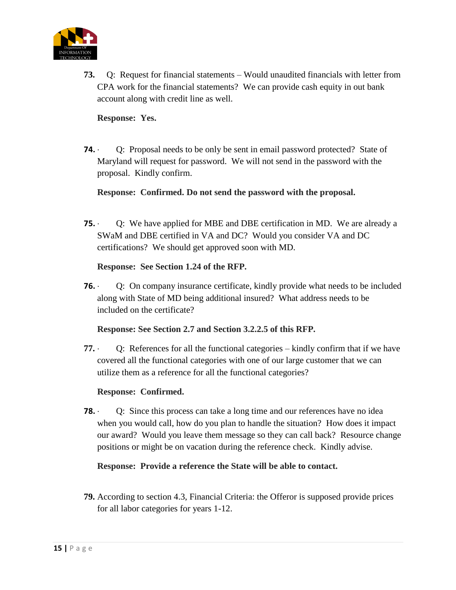

**73.** Q: Request for financial statements – Would unaudited financials with letter from CPA work for the financial statements? We can provide cash equity in out bank account along with credit line as well.

## **Response: Yes.**

**74.** · Q: Proposal needs to be only be sent in email password protected? State of Maryland will request for password. We will not send in the password with the proposal. Kindly confirm.

## **Response: Confirmed. Do not send the password with the proposal.**

**75.** · Q: We have applied for MBE and DBE certification in MD. We are already a SWaM and DBE certified in VA and DC? Would you consider VA and DC certifications? We should get approved soon with MD.

## **Response: See Section 1.24 of the RFP.**

**76.** · Q: On company insurance certificate, kindly provide what needs to be included along with State of MD being additional insured? What address needs to be included on the certificate?

## **Response: See Section 2.7 and Section 3.2.2.5 of this RFP.**

**77.** · Q: References for all the functional categories – kindly confirm that if we have covered all the functional categories with one of our large customer that we can utilize them as a reference for all the functional categories?

## **Response: Confirmed.**

**78.** O: Since this process can take a long time and our references have no idea when you would call, how do you plan to handle the situation? How does it impact our award? Would you leave them message so they can call back? Resource change positions or might be on vacation during the reference check. Kindly advise.

## **Response: Provide a reference the State will be able to contact.**

**79.** According to section 4.3, Financial Criteria: the Offeror is supposed provide prices for all labor categories for years 1-12.